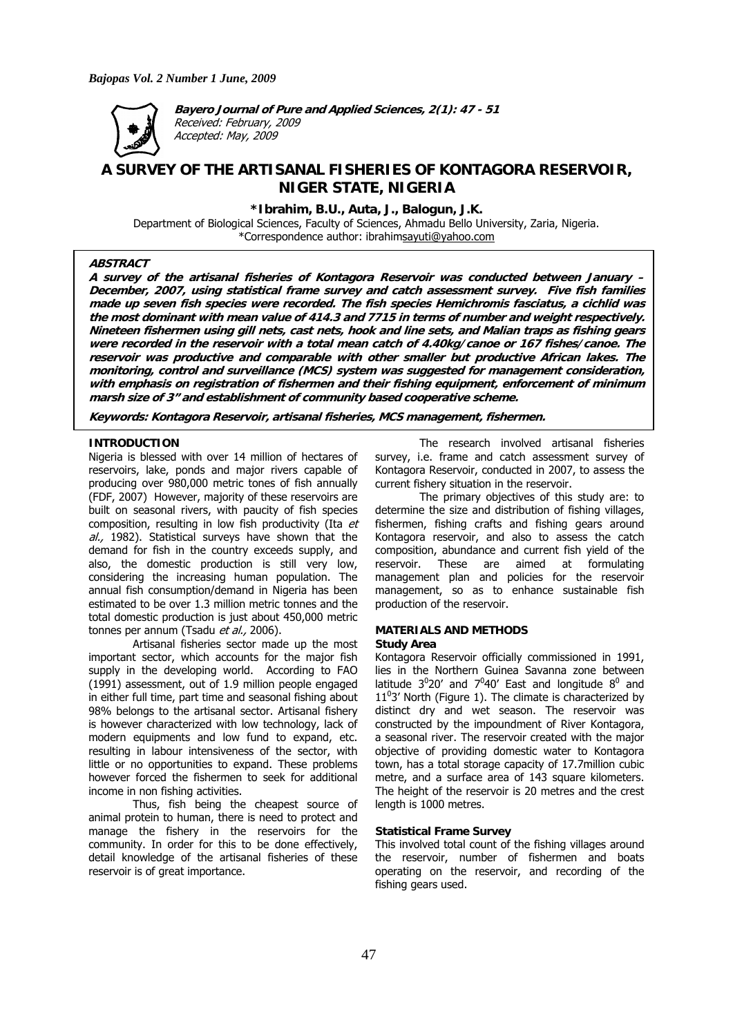

**Bayero Journal of Pure and Applied Sciences, 2(1): 47 - 51**  Received: February, 2009 Accepted: May, 2009

# **A SURVEY OF THE ARTISANAL FISHERIES OF KONTAGORA RESERVOIR, NIGER STATE, NIGERIA**

**\*Ibrahim, B.U., Auta, J., Balogun, J.K.** 

Department of Biological Sciences, Faculty of Sciences, Ahmadu Bello University, Zaria, Nigeria. \*Correspondence author: ibrahimsayuti@yahoo.com

# **ABSTRACT**

**A survey of the artisanal fisheries of Kontagora Reservoir was conducted between January – December, 2007, using statistical frame survey and catch assessment survey. Five fish families made up seven fish species were recorded. The fish species Hemichromis fasciatus, a cichlid was the most dominant with mean value of 414.3 and 7715 in terms of number and weight respectively. Nineteen fishermen using gill nets, cast nets, hook and line sets, and Malian traps as fishing gears were recorded in the reservoir with a total mean catch of 4.40kg/canoe or 167 fishes/canoe. The reservoir was productive and comparable with other smaller but productive African lakes. The monitoring, control and surveillance (MCS) system was suggested for management consideration, with emphasis on registration of fishermen and their fishing equipment, enforcement of minimum marsh size of 3" and establishment of community based cooperative scheme.** 

**Keywords: Kontagora Reservoir, artisanal fisheries, MCS management, fishermen.**

## **INTRODUCTION**

Nigeria is blessed with over 14 million of hectares of reservoirs, lake, ponds and major rivers capable of producing over 980,000 metric tones of fish annually (FDF, 2007) However, majority of these reservoirs are built on seasonal rivers, with paucity of fish species composition, resulting in low fish productivity (Ita et al., 1982). Statistical surveys have shown that the demand for fish in the country exceeds supply, and also, the domestic production is still very low, considering the increasing human population. The annual fish consumption/demand in Nigeria has been estimated to be over 1.3 million metric tonnes and the total domestic production is just about 450,000 metric tonnes per annum (Tsadu et al., 2006).

Artisanal fisheries sector made up the most important sector, which accounts for the major fish supply in the developing world. According to FAO (1991) assessment, out of 1.9 million people engaged in either full time, part time and seasonal fishing about 98% belongs to the artisanal sector. Artisanal fishery is however characterized with low technology, lack of modern equipments and low fund to expand, etc. resulting in labour intensiveness of the sector, with little or no opportunities to expand. These problems however forced the fishermen to seek for additional income in non fishing activities.

Thus, fish being the cheapest source of animal protein to human, there is need to protect and manage the fishery in the reservoirs for the community. In order for this to be done effectively, detail knowledge of the artisanal fisheries of these reservoir is of great importance.

The research involved artisanal fisheries survey, i.e. frame and catch assessment survey of Kontagora Reservoir, conducted in 2007, to assess the current fishery situation in the reservoir.

The primary objectives of this study are: to determine the size and distribution of fishing villages, fishermen, fishing crafts and fishing gears around Kontagora reservoir, and also to assess the catch composition, abundance and current fish yield of the reservoir. These are aimed at formulating management plan and policies for the reservoir management, so as to enhance sustainable fish production of the reservoir.

#### **MATERIALS AND METHODS Study Area**

Kontagora Reservoir officially commissioned in 1991, lies in the Northern Guinea Savanna zone between latitude  $3^020'$  and  $7^040'$  East and longitude  $8^0$  and  $11<sup>0</sup>3'$  North (Figure 1). The climate is characterized by distinct dry and wet season. The reservoir was constructed by the impoundment of River Kontagora, a seasonal river. The reservoir created with the major objective of providing domestic water to Kontagora town, has a total storage capacity of 17.7million cubic metre, and a surface area of 143 square kilometers. The height of the reservoir is 20 metres and the crest length is 1000 metres.

#### **Statistical Frame Survey**

This involved total count of the fishing villages around the reservoir, number of fishermen and boats operating on the reservoir, and recording of the fishing gears used.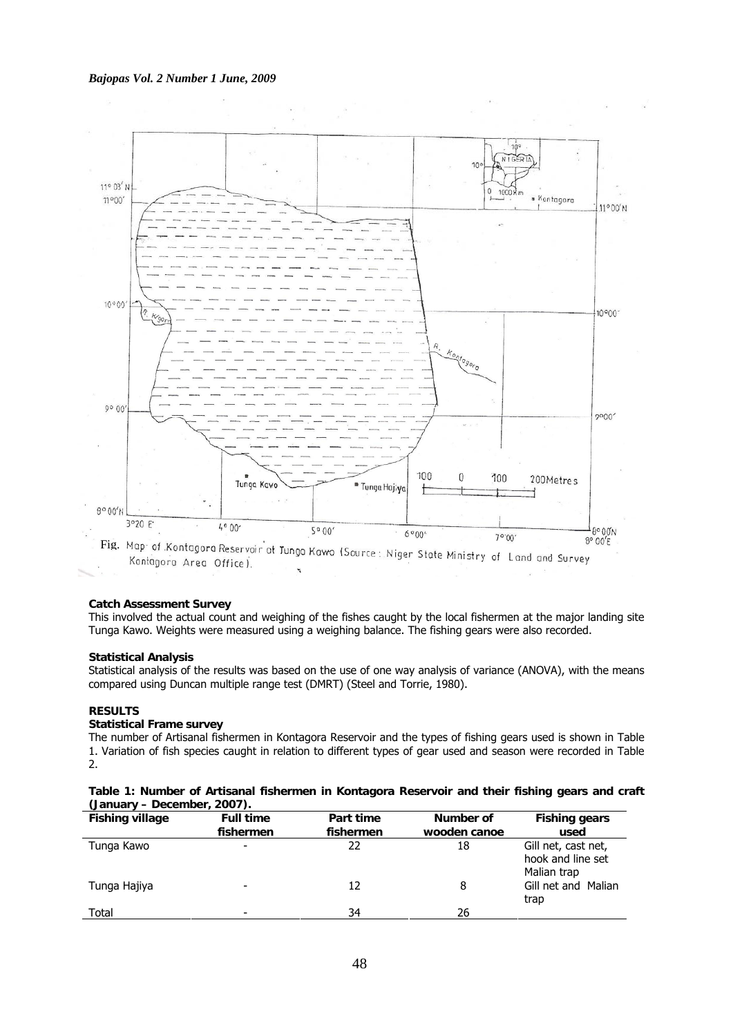### *Bajopas Vol. 2 Number 1 June, 2009*



### **Catch Assessment Survey**

This involved the actual count and weighing of the fishes caught by the local fishermen at the major landing site Tunga Kawo. Weights were measured using a weighing balance. The fishing gears were also recorded.

### **Statistical Analysis**

Statistical analysis of the results was based on the use of one way analysis of variance (ANOVA), with the means compared using Duncan multiple range test (DMRT) (Steel and Torrie, 1980).

# **RESULTS**

# **Statistical Frame survey**

The number of Artisanal fishermen in Kontagora Reservoir and the types of fishing gears used is shown in Table 1. Variation of fish species caught in relation to different types of gear used and season were recorded in Table 2.

|  |                             |  | Table 1: Number of Artisanal fishermen in Kontagora Reservoir and their fishing gears and craft |  |  |  |  |
|--|-----------------------------|--|-------------------------------------------------------------------------------------------------|--|--|--|--|
|  | (January – December, 2007). |  |                                                                                                 |  |  |  |  |

| <b>Fishing village</b> | <b>Full time</b><br>fishermen | Part time<br>fishermen | Number of<br>wooden canoe | <b>Fishing gears</b><br>used                            |
|------------------------|-------------------------------|------------------------|---------------------------|---------------------------------------------------------|
| Tunga Kawo             | ٠                             | 22                     | 18                        | Gill net, cast net,<br>hook and line set<br>Malian trap |
| Tunga Hajiya           | -                             | 12                     | 8                         | Gill net and Malian<br>trap                             |
| Total                  | -                             | 34                     | 26                        |                                                         |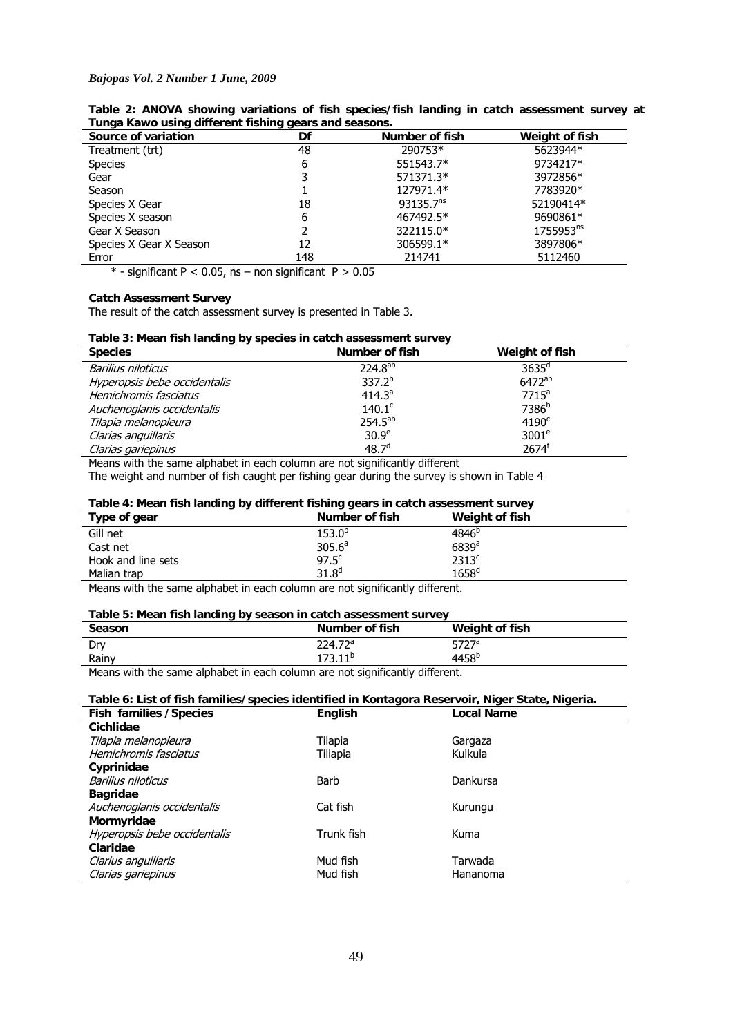#### *Bajopas Vol. 2 Number 1 June, 2009*

| runga Kawo uping umbront normig goars and seasons. |     |                       |                       |  |  |  |
|----------------------------------------------------|-----|-----------------------|-----------------------|--|--|--|
| Source of variation                                | Df  | Number of fish        | Weight of fish        |  |  |  |
| Treatment (trt)                                    | 48  | 290753*               | 5623944*              |  |  |  |
| <b>Species</b>                                     | 6   | 551543.7*             | 9734217*              |  |  |  |
| Gear                                               | 3   | 571371.3*             | 3972856*              |  |  |  |
| Season                                             |     | 127971.4*             | 7783920*              |  |  |  |
| Species X Gear                                     | 18  | 93135.7 <sup>ns</sup> | 52190414*             |  |  |  |
| Species X season                                   | 6   | 467492.5*             | 9690861*              |  |  |  |
| Gear X Season                                      |     | 322115.0*             | 1755953 <sup>ns</sup> |  |  |  |
| Species X Gear X Season                            | 12  | 306599.1*             | 3897806*              |  |  |  |
| Error                                              | 148 | 214741                | 5112460               |  |  |  |

**Table 2: ANOVA showing variations of fish species/fish landing in catch assessment survey at Tunga Kawo using different fishing gears and seasons.** 

 $*$  - significant P < 0.05, ns – non significant P > 0.05

# **Catch Assessment Survey**

The result of the catch assessment survey is presented in Table 3.

|  | Table 3: Mean fish landing by species in catch assessment survey |  |  |  |
|--|------------------------------------------------------------------|--|--|--|
|--|------------------------------------------------------------------|--|--|--|

| <b>Species</b>               | Number of fish     | Weight of fish     |
|------------------------------|--------------------|--------------------|
| Barilius niloticus           | $224.8^{ab}$       | $3635^{\circ}$     |
| Hyperopsis bebe occidentalis | $337.2^{b}$        | 6472 <sup>ab</sup> |
| Hemichromis fasciatus        | 414.3 <sup>a</sup> | $7715^a$           |
| Auchenoglanis occidentalis   | $140.1^{\circ}$    | 7386 <sup>b</sup>  |
| Tilapia melanopleura         | $254.5^{ab}$       | 4190 <sup>c</sup>  |
| Clarias anguillaris          | 30.9 <sup>e</sup>  | 3001 <sup>e</sup>  |
| Clarias gariepinus           | 48.7 <sup>d</sup>  | 2674 <sup>f</sup>  |

Means with the same alphabet in each column are not significantly different

The weight and number of fish caught per fishing gear during the survey is shown in Table 4

### **Table 4: Mean fish landing by different fishing gears in catch assessment survey**

|                    | ----                                |                   |
|--------------------|-------------------------------------|-------------------|
| Type of gear       | Number of fish                      | Weight of fish    |
| Gill net           | $153.0^{\circ}$                     | $4846^{b}$        |
| Cast net           | 305.6 <sup>a</sup>                  | 6839a             |
| Hook and line sets | $97.5^{\circ}$                      | 2313 <sup>c</sup> |
| Malian trap        | $31.8^{d}$                          | $1658^{\rm d}$    |
| .<br>.             | .<br>$\sim$<br>$\sim$ $\sim$<br>. . |                   |

Means with the same alphabet in each column are not significantly different.

# **Table 5: Mean fish landing by season in catch assessment survey**

| <b>Season</b>      | Number of fish          | Weight of fish    |
|--------------------|-------------------------|-------------------|
| Dry                | 224.72 <sup>a</sup>     | $5727^a$          |
| Rainv              | $173.11^{b}$            | 4458 <sup>b</sup> |
| $\cdots$<br>.<br>. | $\cdot$ $\cdot$ $\cdot$ |                   |

Means with the same alphabet in each column are not significantly different.

# **Table 6: List of fish families/species identified in Kontagora Reservoir, Niger State, Nigeria.**

| <b>Fish families / Species</b> | <b>English</b> | <b>Local Name</b> |
|--------------------------------|----------------|-------------------|
| Cichlidae                      |                |                   |
| Tilapia melanopleura           | Tilapia        | Gargaza           |
| Hemichromis fasciatus          | Tiliapia       | Kulkula           |
| Cyprinidae                     |                |                   |
| Barilius niloticus             | Barb           | Dankursa          |
| <b>Bagridae</b>                |                |                   |
| Auchenoglanis occidentalis     | Cat fish       | Kurungu           |
| Mormyridae                     |                |                   |
| Hyperopsis bebe occidentalis   | Trunk fish     | Kuma              |
| Claridae                       |                |                   |
| Clarius anguillaris            | Mud fish       | Tarwada           |
| Clarias gariepinus             | Mud fish       | Hananoma          |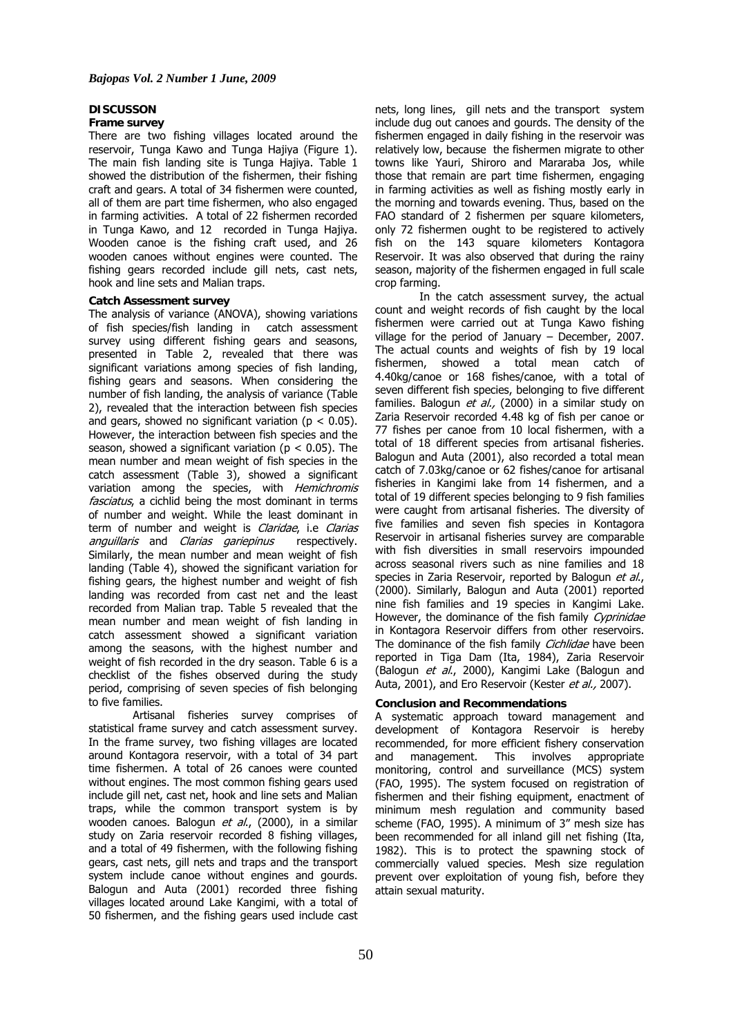#### **DISCUSSON**

### **Frame survey**

There are two fishing villages located around the reservoir, Tunga Kawo and Tunga Hajiya (Figure 1). The main fish landing site is Tunga Hajiya. Table 1 showed the distribution of the fishermen, their fishing craft and gears. A total of 34 fishermen were counted, all of them are part time fishermen, who also engaged in farming activities. A total of 22 fishermen recorded in Tunga Kawo, and 12 recorded in Tunga Hajiya. Wooden canoe is the fishing craft used, and 26 wooden canoes without engines were counted. The fishing gears recorded include gill nets, cast nets, hook and line sets and Malian traps.

### **Catch Assessment survey**

The analysis of variance (ANOVA), showing variations of fish species/fish landing in catch assessment survey using different fishing gears and seasons, presented in Table 2, revealed that there was significant variations among species of fish landing, fishing gears and seasons. When considering the number of fish landing, the analysis of variance (Table 2), revealed that the interaction between fish species and gears, showed no significant variation ( $p < 0.05$ ). However, the interaction between fish species and the season, showed a significant variation ( $p < 0.05$ ). The mean number and mean weight of fish species in the catch assessment (Table 3), showed a significant variation among the species, with Hemichromis fasciatus, a cichlid being the most dominant in terms of number and weight. While the least dominant in term of number and weight is *Claridae*, i.e Clarias anguillaris and Clarias gariepinus respectively. Similarly, the mean number and mean weight of fish landing (Table 4), showed the significant variation for fishing gears, the highest number and weight of fish landing was recorded from cast net and the least recorded from Malian trap. Table 5 revealed that the mean number and mean weight of fish landing in catch assessment showed a significant variation among the seasons, with the highest number and weight of fish recorded in the dry season. Table 6 is a checklist of the fishes observed during the study period, comprising of seven species of fish belonging to five families.

Artisanal fisheries survey comprises of statistical frame survey and catch assessment survey. In the frame survey, two fishing villages are located around Kontagora reservoir, with a total of 34 part time fishermen. A total of 26 canoes were counted without engines. The most common fishing gears used include gill net, cast net, hook and line sets and Malian traps, while the common transport system is by wooden canoes. Balogun et al., (2000), in a similar study on Zaria reservoir recorded 8 fishing villages, and a total of 49 fishermen, with the following fishing gears, cast nets, gill nets and traps and the transport system include canoe without engines and gourds. Balogun and Auta (2001) recorded three fishing villages located around Lake Kangimi, with a total of 50 fishermen, and the fishing gears used include cast

nets, long lines, gill nets and the transport system include dug out canoes and gourds. The density of the fishermen engaged in daily fishing in the reservoir was relatively low, because the fishermen migrate to other towns like Yauri, Shiroro and Mararaba Jos, while those that remain are part time fishermen, engaging in farming activities as well as fishing mostly early in the morning and towards evening. Thus, based on the FAO standard of 2 fishermen per square kilometers, only 72 fishermen ought to be registered to actively fish on the 143 square kilometers Kontagora Reservoir. It was also observed that during the rainy season, majority of the fishermen engaged in full scale crop farming.

In the catch assessment survey, the actual count and weight records of fish caught by the local fishermen were carried out at Tunga Kawo fishing village for the period of January – December, 2007. The actual counts and weights of fish by 19 local fishermen, showed a total mean catch of 4.40kg/canoe or 168 fishes/canoe, with a total of seven different fish species, belonging to five different families. Balogun et al., (2000) in a similar study on Zaria Reservoir recorded 4.48 kg of fish per canoe or 77 fishes per canoe from 10 local fishermen, with a total of 18 different species from artisanal fisheries. Balogun and Auta (2001), also recorded a total mean catch of 7.03kg/canoe or 62 fishes/canoe for artisanal fisheries in Kangimi lake from 14 fishermen, and a total of 19 different species belonging to 9 fish families were caught from artisanal fisheries. The diversity of five families and seven fish species in Kontagora Reservoir in artisanal fisheries survey are comparable with fish diversities in small reservoirs impounded across seasonal rivers such as nine families and 18 species in Zaria Reservoir, reported by Balogun et al., (2000). Similarly, Balogun and Auta (2001) reported nine fish families and 19 species in Kangimi Lake. However, the dominance of the fish family Cyprinidae in Kontagora Reservoir differs from other reservoirs. The dominance of the fish family Cichlidae have been reported in Tiga Dam (Ita, 1984), Zaria Reservoir (Balogun et al., 2000), Kangimi Lake (Balogun and Auta, 2001), and Ero Reservoir (Kester et al., 2007).

#### **Conclusion and Recommendations**

A systematic approach toward management and development of Kontagora Reservoir is hereby recommended, for more efficient fishery conservation and management. This involves appropriate monitoring, control and surveillance (MCS) system (FAO, 1995). The system focused on registration of fishermen and their fishing equipment, enactment of minimum mesh regulation and community based scheme (FAO, 1995). A minimum of 3" mesh size has been recommended for all inland gill net fishing (Ita, 1982). This is to protect the spawning stock of commercially valued species. Mesh size regulation prevent over exploitation of young fish, before they attain sexual maturity.